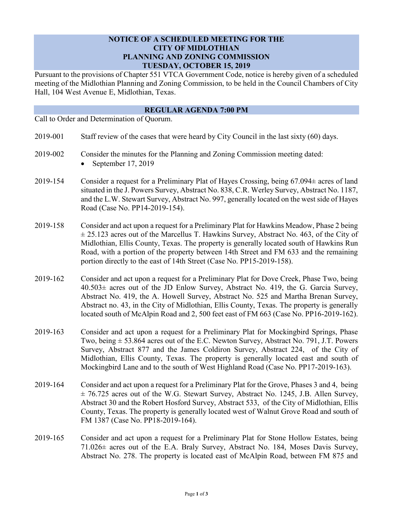## **NOTICE OF A SCHEDULED MEETING FOR THE CITY OF MIDLOTHIAN PLANNING AND ZONING COMMISSION TUESDAY, OCTOBER 15, 2019**

Pursuant to the provisions of Chapter 551 VTCA Government Code, notice is hereby given of a scheduled meeting of the Midlothian Planning and Zoning Commission, to be held in the Council Chambers of City Hall, 104 West Avenue E, Midlothian, Texas.

## **REGULAR AGENDA 7:00 PM**

Call to Order and Determination of Quorum.

| 2019-001<br>Staff review of the cases that were heard by City Council in the last sixty (60) days. |
|----------------------------------------------------------------------------------------------------|
|----------------------------------------------------------------------------------------------------|

- 2019-002 Consider the minutes for the Planning and Zoning Commission meeting dated:
	- September 17, 2019
- 2019-154 Consider a request for a Preliminary Plat of Hayes Crossing, being 67.094± acres of land situated in the J. Powers Survey, Abstract No. 838, C.R. Werley Survey, Abstract No. 1187, and the L.W. Stewart Survey, Abstract No. 997, generally located on the west side of Hayes Road (Case No. PP14-2019-154).
- 2019-158 Consider and act upon a request for a Preliminary Plat for Hawkins Meadow, Phase 2 being  $\pm$  25.123 acres out of the Marcellus T. Hawkins Survey, Abstract No. 463, of the City of Midlothian, Ellis County, Texas. The property is generally located south of Hawkins Run Road, with a portion of the property between 14th Street and FM 633 and the remaining portion directly to the east of 14th Street (Case No. PP15-2019-158).
- 2019-162 Consider and act upon a request for a Preliminary Plat for Dove Creek, Phase Two, being 40.503± acres out of the JD Enlow Survey, Abstract No. 419, the G. Garcia Survey, Abstract No. 419, the A. Howell Survey, Abstract No. 525 and Martha Brenan Survey, Abstract no. 43, in the City of Midlothian, Ellis County, Texas. The property is generally located south of McAlpin Road and 2, 500 feet east of FM 663 (Case No. PP16-2019-162).
- 2019-163 Consider and act upon a request for a Preliminary Plat for Mockingbird Springs, Phase Two, being  $\pm$  53.864 acres out of the E.C. Newton Survey, Abstract No. 791, J.T. Powers Survey, Abstract 877 and the James Coldiron Survey, Abstract 224, of the City of Midlothian, Ellis County, Texas. The property is generally located east and south of Mockingbird Lane and to the south of West Highland Road (Case No. PP17-2019-163).
- 2019-164 Consider and act upon a request for a Preliminary Plat for the Grove, Phases 3 and 4, being  $\pm$  76.725 acres out of the W.G. Stewart Survey, Abstract No. 1245, J.B. Allen Survey, Abstract 30 and the Robert Hosford Survey, Abstract 533, of the City of Midlothian, Ellis County, Texas. The property is generally located west of Walnut Grove Road and south of FM 1387 (Case No. PP18-2019-164).
- 2019-165 Consider and act upon a request for a Preliminary Plat for Stone Hollow Estates, being 71.026± acres out of the E.A. Braly Survey, Abstract No. 184, Moses Davis Survey, Abstract No. 278. The property is located east of McAlpin Road, between FM 875 and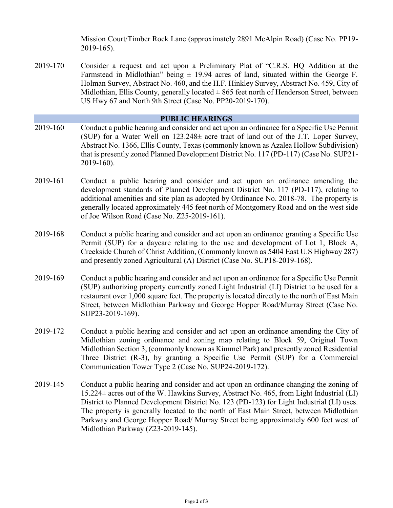Mission Court/Timber Rock Lane (approximately 2891 McAlpin Road) (Case No. PP19- 2019-165).

2019-170 Consider a request and act upon a Preliminary Plat of "C.R.S. HQ Addition at the Farmstead in Midlothian" being  $\pm$  19.94 acres of land, situated within the George F. Holman Survey, Abstract No. 460, and the H.F. Hinkley Survey, Abstract No. 459, City of Midlothian, Ellis County, generally located  $\pm 865$  feet north of Henderson Street, between US Hwy 67 and North 9th Street (Case No. PP20-2019-170).

## **PUBLIC HEARINGS**

- 2019-160 Conduct a public hearing and consider and act upon an ordinance for a Specific Use Permit (SUP) for a Water Well on  $123.248\pm$  acre tract of land out of the J.T. Loper Survey, Abstract No. 1366, Ellis County, Texas (commonly known as Azalea Hollow Subdivision) that is presently zoned Planned Development District No. 117 (PD-117) (Case No. SUP21- 2019-160).
- 2019-161 Conduct a public hearing and consider and act upon an ordinance amending the development standards of Planned Development District No. 117 (PD-117), relating to additional amenities and site plan as adopted by Ordinance No. 2018-78. The property is generally located approximately 445 feet north of Montgomery Road and on the west side of Joe Wilson Road (Case No. Z25-2019-161).
- 2019-168 Conduct a public hearing and consider and act upon an ordinance granting a Specific Use Permit (SUP) for a daycare relating to the use and development of Lot 1, Block A, Creekside Church of Christ Addition, (Commonly known as 5404 East U.S Highway 287) and presently zoned Agricultural (A) District (Case No. SUP18-2019-168).
- 2019-169 Conduct a public hearing and consider and act upon an ordinance for a Specific Use Permit (SUP) authorizing property currently zoned Light Industrial (LI) District to be used for a restaurant over 1,000 square feet. The property is located directly to the north of East Main Street, between Midlothian Parkway and George Hopper Road/Murray Street (Case No. SUP23-2019-169).
- 2019-172 Conduct a public hearing and consider and act upon an ordinance amending the City of Midlothian zoning ordinance and zoning map relating to Block 59, Original Town Midlothian Section 3, (commonly known as Kimmel Park) and presently zoned Residential Three District (R-3), by granting a Specific Use Permit (SUP) for a Commercial Communication Tower Type 2 (Case No. SUP24-2019-172).
- 2019-145 Conduct a public hearing and consider and act upon an ordinance changing the zoning of 15.224± acres out of the W. Hawkins Survey, Abstract No. 465, from Light Industrial (LI) District to Planned Development District No. 123 (PD-123) for Light Industrial (LI) uses. The property is generally located to the north of East Main Street, between Midlothian Parkway and George Hopper Road/ Murray Street being approximately 600 feet west of Midlothian Parkway (Z23-2019-145).